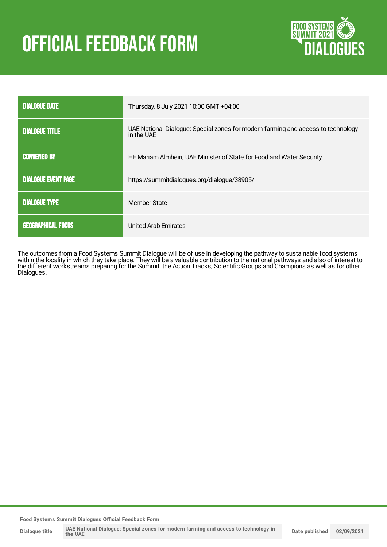# **OFFICIAL FEEDBACK FORM**



| <b>DIALOGUE DATE</b>       | Thursday, 8 July 2021 10:00 GMT +04:00                                                         |
|----------------------------|------------------------------------------------------------------------------------------------|
| <b>DIALOGUE TITLE</b>      | UAE National Dialogue: Special zones for modern farming and access to technology<br>in the UAE |
| <b>CONVENED BY</b>         | HE Mariam Almheiri, UAE Minister of State for Food and Water Security                          |
| <b>DIALOGUE EVENT PAGE</b> | https://summitdialogues.org/dialogue/38905/                                                    |
| <b>DIALOGUE TYPE</b>       | Member State                                                                                   |
| <b>GEOGRAPHICAL FOCUS</b>  | <b>United Arab Emirates</b>                                                                    |

The outcomes from a Food Systems Summit Dialogue will be of use in developing the pathway to sustainable food systems within the locality in which they take place. They will be a valuable contribution to the national pathways and also of interest to the different workstreams preparing for the Summit: the Action Tracks, Scientific Groups and Champions as well as for other Dialogues.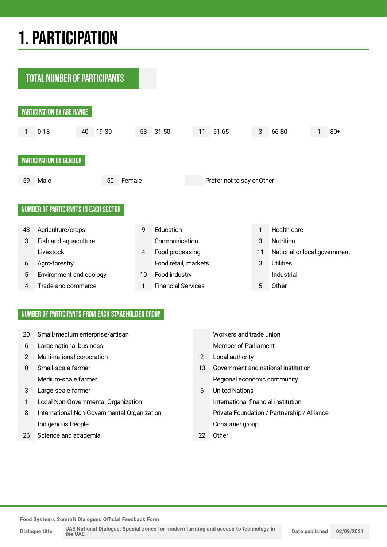## 1.PARTICIPATION

**TOTAL NUMBER OF PARTICIPANTS** 



#### NUMBER OF PARTICIPANTS FROM EACH STAKEHOLDER GROUP

| 20 | Small/medium enterprise/artisan             |                       | Workers and trade union                     |
|----|---------------------------------------------|-----------------------|---------------------------------------------|
| 6  | Large national business                     |                       | Member of Parliament                        |
| 2  | Multi-national corporation                  | $\mathbf{2}^{\prime}$ | Local authority                             |
| 0  | Small-scale farmer                          | 13                    | Government and national institution         |
|    | Medium-scale farmer                         |                       | Regional economic community                 |
| 3  | Large-scale farmer                          | 6                     | <b>United Nations</b>                       |
|    | Local Non-Governmental Organization         |                       | International financial institution         |
| 8  | International Non-Governmental Organization |                       | Private Foundation / Partnership / Alliance |
|    | Indigenous People                           |                       | Consumer group                              |
| 26 | Science and academia                        | 22                    | Other                                       |

**Food Systems Summit Dialogues Official Feedback Form**

**Dialogue title**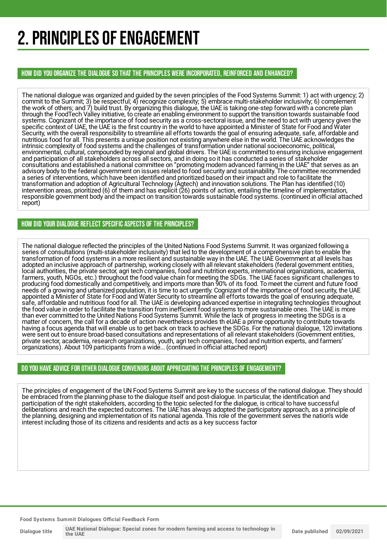## 2. PRINCIPLES OF ENGAGEMENT

HOW DID YOU ORGANIZE THE DIALOGUE SO THAT THE PRINCIPLES WERE INCORPORATED, REINFORCED AND ENHANCED?

The national dialogue was organized and guided by the seven principles of the Food Systems Summit: 1) act with urgency; 2) commit to the Summit; 3) be respectful; 4) recognize complexity; 5) embrace multi-stakeholder inclusivity; 6) complement the work of others; and 7) build trust. By organizing this dialogue, the UAE is taking one-step forward with a concrete plan through the FoodTech Valley initiative, to create an enabling environment to support the transition towards sustainable food systems. Cognizant of the importance of food security as a cross-sectoral issue, and the need to act with urgency given the specific context of UAE, the UAE is the first country in the world to have appointed a Minister of State for Food and Water Security, with the overall responsibility to streamline all efforts towards the goal of ensuring adequate, safe, affordable and nutritious food for all. This presents a unique position not existing anywhere else in the world. The UAE acknowledges the intrinsic complexity of food systems and the challenges of transformation under national socioeconomic, political, environmental, cultural, compounded by regional and global drivers. The UAE is committed to ensuring inclusive engagement and participation of all stakeholders across all sectors, and in doing so it has conducted a series of stakeholder consultations and established a national committee on "promoting modern advanced farming in the UAE" that serves as an advisory body to the federal government on issues related to food security and sustainability. The committee recommended a series of interventions, which have been identified and prioritized based on their impact and role to facilitate the transformation and adoption of Agricultural Technology (Agtech) and innovation solutions. The Plan has identified (10) intervention areas, prioritized (6) of them and has explicit (26) points of action, entailing the timeline of implementation, responsible government body and the impact on transition towards sustainable food systems. (continued in official attached report)

#### HOW DID YOUR DIALOGUE REFLECT SPECIFIC ASPECTS OF THE PRINCIPLES?

The national dialogue reflected the principles of the United Nations Food Systems Summit. It was organized following a series of consultations (multi-stakeholder inclusivity) that led to the development of a comprehensive plan to enable the transformation of food systems in a more resilient and sustainable way in the UAE. The UAE Government at all levels has adopted an inclusive approach of partnership, working closely with all relevant stakeholders (federal government entities, local authorities, the private sector, agri tech companies, food and nutrition experts, international organizations, academia, farmers, youth, NGOs, etc.) throughout the food value chain for meeting the SDGs. The UAE faces significant challenges to producing food domestically and competitively, and imports more than 90% of its food. To meet the current and future food needs of a growing and urbanized population, it is time to act urgently. Cognizant of the importance of food security, the UAE appointed a Minister of State for Food and Water Security to streamline all efforts towards the goal of ensuring adequate, safe, affordable and nutritious food for all. The UAE is developing advanced expertise in integrating technologies throughout the food value in order to facilitate the transition from inefficient food systems to more sustainable ones. The UAE is more than ever committed to the United Nations Food Systems Summit. While the lack of progress in meeting the SDGs is a matter of concern, the call for a decade of action nevertheless provides th eUAE a prime opportunity to contribute towards having a focus agenda that will enable us to get back on track to achieve the SDGs. For the national dialogue, 120 invitations were sent out to ensure broad-based consultations and representations of all relevant stakeholders (Government entities, private sector, academia, research organizations, youth, agri tech companies, food and nutrition experts, and farmers' organizations). About 109 participants from a wide... (continued in official attached report)

#### DO YOU HAVE ADVICE FOR OTHER DIALOGUE CONVENORS ABOUT APPRECIATING THE PRINCIPLES OF ENGAGEMENT?

The principles of engagement of the UN Food Systems Summit are key to the success of the national dialogue. They should be embraced from the planning phase to the dialogue itself and post-dialogue. In particular, the identification and participation of the right stakeholders, according to the topic selected for the dialogue, is critical to have successful deliberations and reach the expected outcomes. The UAE has always adopted the participatory approach, as a principle of the planning, designing and implementation of its national agenda. This role of the government serves the nation's wide interest including those of its citizens and residents and acts as a key success factor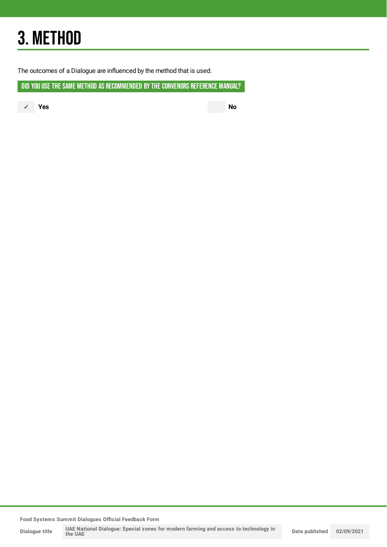## 3. METHOD

The outcomes of a Dialogue are influenced by the method that is used.

DID YOU USE THE SAME METHOD AS RECOMMENDED BY THE CONVENORS REFERENCE MANUAL?

✓ **Yes No**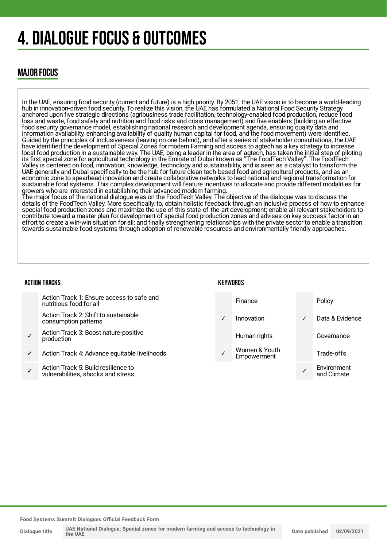## 4. DIALOGUE FOCUS & OUTCOMES

### MAJOR FOCUS

In the UAE, ensuring food security (current and future) is a high priority. By 2051, the UAE vision is to become a world-leading hub in innovation-driven food security. To realize this vision, the UAE has formulated a National Food Security Strategy anchored upon five strategic directions (agribusiness trade facilitation, technology-enabled food production, reduce food loss and waste, food safety and nutrition and food risks and crisis management) and five enablers (building an effective food security governance model, establishing national research and development agenda, ensuring quality data and information availability, enhancing availability of quality human capital for food, and the food movement) were identified. Guided by the principles of inclusiveness (leaving no one behind), and after a series of stakeholder consultations, the UAE have identified the development of Special Zones for modern Farming and access to agtech as a key strategy to increase local food production in a sustainable way. The UAE, being a leader in the area of agtech, has taken the initial step of piloting its first special zone for agricultural technology in the Emirate of Dubai known as "The FoodTech Valley". The FoodTech Valley is centered on food, innovation, knowledge, technology and sustainability, and is seen as a catalyst to transform the UAE generally and Dubai specifically to be the hub for future clean tech-based food and agricultural products, and as an economic zone to spearhead innovation and create collaborative networks to lead national and regional transformation for sustainable food systems. This complex development will feature incentives to allocate and provide different modalities for growers who are interested in establishing their advanced modern farming.

The major focus of the national dialogue was on the FoodTech Valley. The objective of the dialogue was to discuss the details of the FoodTech Valley. More specifically, to, obtain holistic feedback through an inclusive process of how to enhance special food production zones and maximize the use of this state-of-the-art development; enable all relevant stakeholders to contribute toward a master plan for development of special food production zones and advises on key success factor in an effort to create a win-win situation for all; and finally strengthening relationships with the private sector to enable a transition towards sustainable food systems through adoption of renewable resources and environmentally friendly approaches.

#### ACTION TRACKS

#### **KFYWORDS**

|   | Action Track 1: Ensure access to safe and<br>nutritious food for all      |              | <b>Finance</b>               |   | Policy                     |
|---|---------------------------------------------------------------------------|--------------|------------------------------|---|----------------------------|
|   | Action Track 2: Shift to sustainable<br>consumption patterns              | $\checkmark$ | Innovation                   | ✓ | Data & Evidence            |
|   | Action Track 3: Boost nature-positive<br>production                       |              | Human rights                 |   | Governance                 |
| ✓ | Action Track 4: Advance equitable livelihoods                             |              | Women & Youth<br>Empowerment |   | Trade-offs                 |
|   | Action Track 5: Build resilience to<br>vulnerabilities, shocks and stress |              |                              |   | Environment<br>and Climate |
|   |                                                                           |              |                              |   |                            |

**Food Systems Summit Dialogues Official Feedback Form**

**Dialogue title**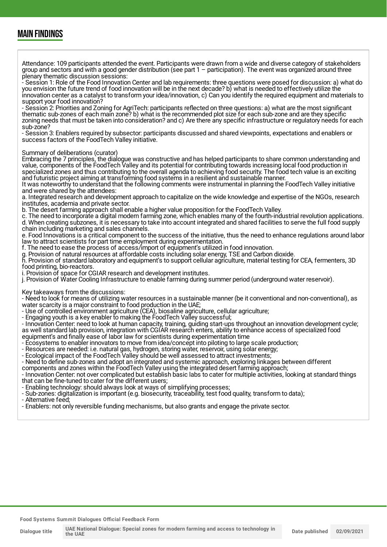### MAIN FINDINGS

Attendance: 109 participants attended the event. Participants were drawn from a wide and diverse category of stakeholders group and sectors and with a good gender distribution (see part 1 – participation). The event was organized around three plenary thematic discussion sessions:

- Session 1: Role of the Food Innovation Center and lab requirements: three questions were posed for discussion: a) what do you envision the future trend of food innovation will be in the next decade? b) what is needed to effectively utilize the innovation center as a catalyst to transform your idea/innovation, c) Can you identify the required equipment and materials to support your food innovation?

- Session 2: Priorities and Zoning for AgriTech: participants reflected on three questions: a) what are the most significant thematic sub-zones of each main zone? b) what is the recommended plot size for each sub-zone and are they specific zoning needs that must be taken into consideration? and c) Are there any specific infrastructure or regulatory needs for each sub-zone?

- Session 3: Enablers required by subsector: participants discussed and shared viewpoints, expectations and enablers or success factors of the FoodTech Valley initiative.

#### Summary of deliberations (curator)

Embracing the 7 principles, the dialogue was constructive and has helped participants to share common understanding and value, components of the FoodTech Valley and its potential for contributing towards increasing local food production in specialized zones and thus contributing to the overall agenda to achieving food security. The food tech value is an exciting and futuristic project aiming at transforming food systems in a resilient and sustainable manner.

It was noteworthy to understand that the following comments were instrumental in planning the FoodTech Valley initiative and were shared by the attendees:

a. Integrated research and development approach to capitalize on the wide knowledge and expertise of the NGOs, research institutes, academia and private sector.

b. The desert farming approach shall enable a higher value proposition for the FoodTech Valley.

c. The need to incorporate a digital modern farming zone, which enables many of the fourth-industrial revolution applications. d. When creating subzones, it is necessary to take into account integrated and shared facilities to serve the full food supply chain including marketing and sales channels.

e. Food Innovations is a critical component to the success of the initiative, thus the need to enhance regulations around labor law to attract scientists for part time employment during experimentation.

f. The need to ease the process of access/import of equipment's utilized in food innovation.

g. Provision of natural resources at affordable costs including solar energy, TSE and Carbon dioxide.

h. Provision of standard laboratory and equipment's to support cellular agriculture, material testing for CEA, fermenters, 3D food printing, bio-reactors.

i. Provision of space for CGIAR research and development institutes.

j. Provision of Water Cooling Infrastructure to enable farming during summer period (underground water reservoir).

Key takeaways from the discussions:

- Need to look for means of utilizing water resources in a sustainable manner (be it conventional and non-conventional), as water scarcity is a major constraint to food production in the UAE;

- Use of controlled environment agriculture (CEA), biosaline agriculture, cellular agriculture;

- Engaging youth is a key enabler to making the FoodTech Valley successful;

- Innovation Center: need to look at human capacity, training, guiding start-ups throughout an innovation development cycle; as well standard lab provision, integration with CGIAR research enters, ability to enhance access of specialized food equipment's and finally ease of labor law for scientists during experimentation time

- Ecosystems to enabler innovators to move from idea/concept into piloting to large scale production;
- Resources are needed: i.e. natural gas, hydrogen, storing water, reservoir, using solar energy;

- Ecological impact of the FoodTech Valley should be well assessed to attract investments;

- Need to define sub-zones and adopt an integrated and systemic approach, exploring linkages between different

components and zones within the FoodTech Valley using the integrated desert farming approach;

- Innovation Center: not over complicated but establish basic labs to cater for multiple activities, looking at standard things that can be fine-tuned to cater for the different users;

- Enabling technology: should always look at ways of simplifying processes;

- Sub-zones: digitalization is important (e.g. biosecurity, traceability, test food quality, transform to data);

- Alternative feed;

- Enablers: not only reversible funding mechanisms, but also grants and engage the private sector.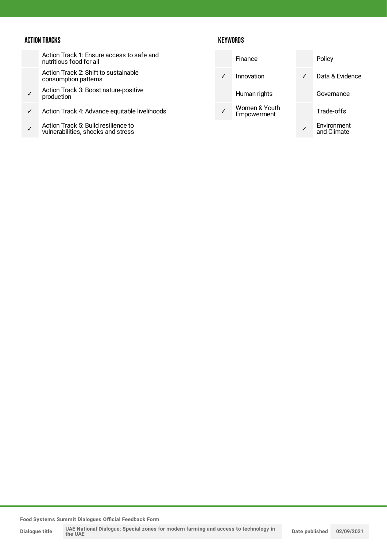#### ACTION TRACKS

Action Track 1: Ensure access to safe and nutritious food for all

Action Track 2: Shift to sustainable consumption patterns

- ✓ Action Track 3: Boost nature-positive production
- ✓ Action Track 4: Advance equitable livelihoods
- ✓ Action Track 5: Build resilience to vulnerabilities, shocks and stress

#### **KEYWORDS**

| Finance                      |   | Policy                     |
|------------------------------|---|----------------------------|
| Innovation                   | ✓ | Data & Evidence            |
| Human rights                 |   | Governance                 |
| Women & Youth<br>Empowerment |   | Trade-offs                 |
|                              |   | Environment<br>and Climate |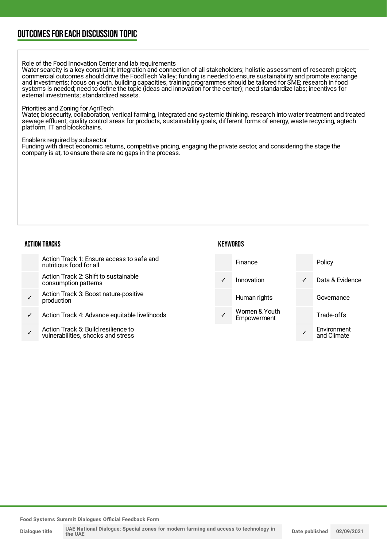### OUTCOMESFOR EACH DISCUSSION TOPIC

Role of the Food Innovation Center and lab requirements

Water scarcity is a key constraint; integration and connection of all stakeholders; holistic assessment of research project; commercial outcomes should drive the FoodTech Valley; funding is needed to ensure sustainability and promote exchange and investments; focus on youth, building capacities, training programmes should be tailored for SME; research in food systems is needed; need to define the topic (ideas and innovation for the center); need standardize labs; incentives for external investments; standardized assets.

#### Priorities and Zoning for AgriTech

Water, biosecurity, collaboration, vertical farming, integrated and systemic thinking, research into water treatment and treated sewage effluent; quality control areas for products, sustainability goals, different forms of energy, waste recycling, agtech platform, IT and blockchains.

Enablers required by subsector

Funding with direct economic returns, competitive pricing, engaging the private sector, and considering the stage the company is at, to ensure there are no gaps in the process.

#### ACTION TRACKS

#### **KEYWORDS**

|              | Action Track 1: Ensure access to safe and<br>nutritious food for all      |              | <b>Finance</b>               |              | Policy                     |
|--------------|---------------------------------------------------------------------------|--------------|------------------------------|--------------|----------------------------|
|              | Action Track 2: Shift to sustainable<br>consumption patterns              | $\checkmark$ | Innovation                   | $\checkmark$ | Data & Evidence            |
|              | Action Track 3: Boost nature-positive<br>production                       |              | Human rights                 |              | Governance                 |
| $\checkmark$ | Action Track 4: Advance equitable livelihoods                             |              | Women & Youth<br>Empowerment |              | Trade-offs                 |
|              | Action Track 5: Build resilience to<br>vulnerabilities, shocks and stress |              |                              |              | Environment<br>and Climate |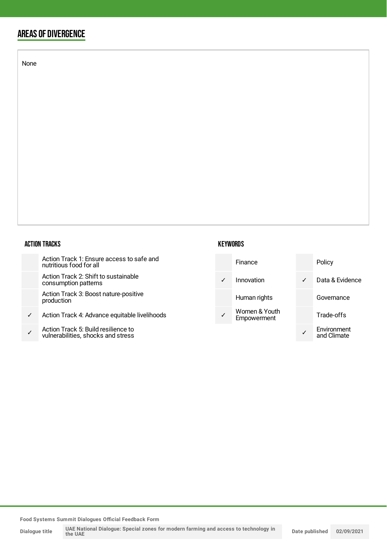### AREAS OF DIVERGENCE

None

#### ACTION TRACKS

| Action Track 1: Ensure access to safe and<br>nutritious food for all |
|----------------------------------------------------------------------|
|----------------------------------------------------------------------|

Action Track 2: Shift to sustainable consumption patterns

Action Track 3: Boost nature-positive production

- ✓ Action Track 4: Advance equitable livelihoods
- ✓ Action Track 5: Build resilience to vulnerabilities, shocks and stress

#### **KEYWORDS**

| Finance                      |   | Policy                     |
|------------------------------|---|----------------------------|
| Innovation                   | ✓ | Data & Evidence            |
| Human rights                 |   | Governance                 |
| Women & Youth<br>Empowerment |   | Trade-offs                 |
|                              |   | Environment<br>and Climate |